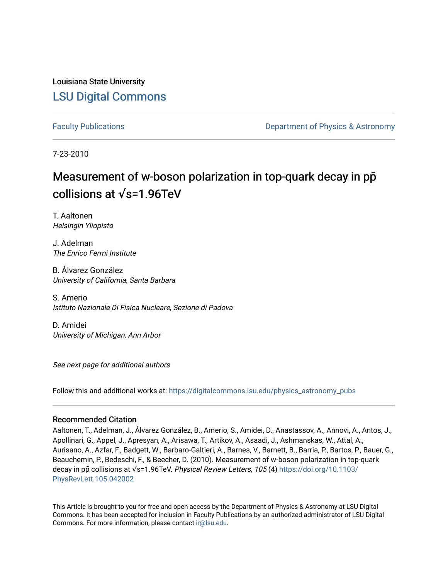Louisiana State University [LSU Digital Commons](https://digitalcommons.lsu.edu/)

[Faculty Publications](https://digitalcommons.lsu.edu/physics_astronomy_pubs) **Example 2** Constant Department of Physics & Astronomy

7-23-2010

### Measurement of w-boson polarization in top-quark decay in pp collisions at **√**s=1.96TeV

T. Aaltonen Helsingin Yliopisto

J. Adelman The Enrico Fermi Institute

B. Álvarez González University of California, Santa Barbara

S. Amerio Istituto Nazionale Di Fisica Nucleare, Sezione di Padova

D. Amidei University of Michigan, Ann Arbor

See next page for additional authors

Follow this and additional works at: [https://digitalcommons.lsu.edu/physics\\_astronomy\\_pubs](https://digitalcommons.lsu.edu/physics_astronomy_pubs?utm_source=digitalcommons.lsu.edu%2Fphysics_astronomy_pubs%2F2397&utm_medium=PDF&utm_campaign=PDFCoverPages) 

### Recommended Citation

Aaltonen, T., Adelman, J., Álvarez González, B., Amerio, S., Amidei, D., Anastassov, A., Annovi, A., Antos, J., Apollinari, G., Appel, J., Apresyan, A., Arisawa, T., Artikov, A., Asaadi, J., Ashmanskas, W., Attal, A., Aurisano, A., Azfar, F., Badgett, W., Barbaro-Galtieri, A., Barnes, V., Barnett, B., Barria, P., Bartos, P., Bauer, G., Beauchemin, P., Bedeschi, F., & Beecher, D. (2010). Measurement of w-boson polarization in top-quark decay in pp̄ collisions at √s=1.96TeV. Physical Review Letters, 105 (4) [https://doi.org/10.1103/](https://doi.org/10.1103/PhysRevLett.105.042002) [PhysRevLett.105.042002](https://doi.org/10.1103/PhysRevLett.105.042002) 

This Article is brought to you for free and open access by the Department of Physics & Astronomy at LSU Digital Commons. It has been accepted for inclusion in Faculty Publications by an authorized administrator of LSU Digital Commons. For more information, please contact [ir@lsu.edu](mailto:ir@lsu.edu).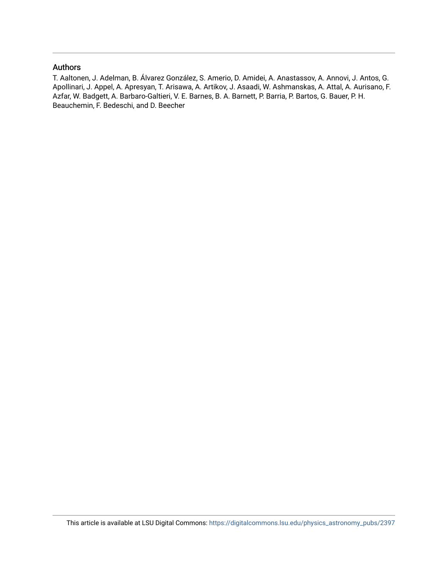### Authors

T. Aaltonen, J. Adelman, B. Álvarez González, S. Amerio, D. Amidei, A. Anastassov, A. Annovi, J. Antos, G. Apollinari, J. Appel, A. Apresyan, T. Arisawa, A. Artikov, J. Asaadi, W. Ashmanskas, A. Attal, A. Aurisano, F. Azfar, W. Badgett, A. Barbaro-Galtieri, V. E. Barnes, B. A. Barnett, P. Barria, P. Bartos, G. Bauer, P. H. Beauchemin, F. Bedeschi, and D. Beecher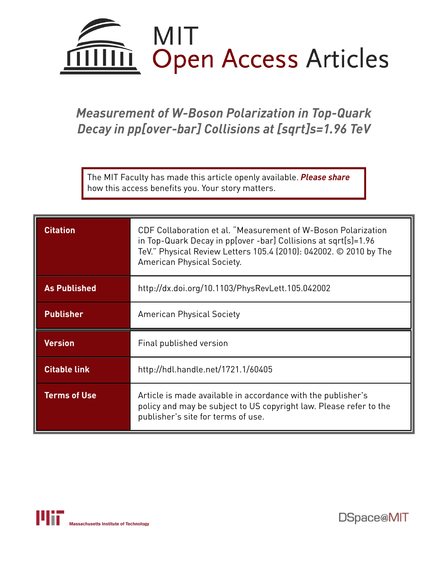

# *Measurement of W-Boson Polarization in Top-Quark Decay in pp[over-bar] Collisions at [sqrt]s=1.96 TeV*

The MIT Faculty has made this article openly available. *[Please](https://libraries.mit.edu/forms/dspace-oa-articles.html) share* how this access benefits you. Your story matters.

| <b>Citation</b>     | CDF Collaboration et al. "Measurement of W-Boson Polarization<br>in Top-Quark Decay in pp[over -bar] Collisions at sqrt[s]=1.96<br>TeV." Physical Review Letters 105.4 (2010): 042002. © 2010 by The<br>American Physical Society. |  |  |
|---------------------|------------------------------------------------------------------------------------------------------------------------------------------------------------------------------------------------------------------------------------|--|--|
| <b>As Published</b> | http://dx.doi.org/10.1103/PhysRevLett.105.042002                                                                                                                                                                                   |  |  |
| <b>Publisher</b>    | <b>American Physical Society</b>                                                                                                                                                                                                   |  |  |
| <b>Version</b>      | Final published version                                                                                                                                                                                                            |  |  |
| <b>Citable link</b> | http://hdl.handle.net/1721.1/60405                                                                                                                                                                                                 |  |  |
| <b>Terms of Use</b> | Article is made available in accordance with the publisher's<br>policy and may be subject to US copyright law. Please refer to the<br>publisher's site for terms of use.                                                           |  |  |



DSpace@MIT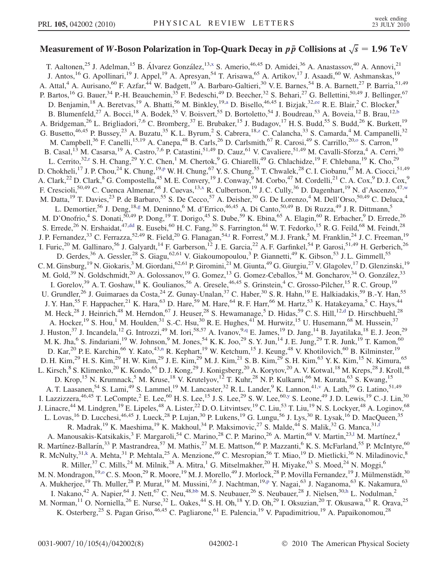# Measurement of W-Boson Polarization in Top-Quark Decay in  $p\,\bar{p}$  Collisions at  $\sqrt{s} = 1.96\;\mathrm{TeV}$

<span id="page-3-18"></span><span id="page-3-17"></span><span id="page-3-16"></span><span id="page-3-15"></span><span id="page-3-14"></span><span id="page-3-13"></span><span id="page-3-12"></span><span id="page-3-11"></span><span id="page-3-10"></span><span id="page-3-9"></span><span id="page-3-8"></span><span id="page-3-7"></span><span id="page-3-6"></span><span id="page-3-5"></span><span id="page-3-4"></span><span id="page-3-3"></span><span id="page-3-2"></span><span id="page-3-1"></span><span id="page-3-0"></span>T. Aaltonen,<sup>25</sup> J. Adelman,<sup>15</sup> B. Álvarez González,<sup>13,[x](#page-9-0)</sup> S. Amerio,<sup>46,45</sup> D. Amidei,<sup>36</sup> A. Anastassov,<sup>40</sup> A. Annovi,<sup>21</sup> J. Antos,<sup>16</sup> G. Apollinari,<sup>19</sup> J. Appel,<sup>19</sup> A. Apresyan,<sup>54</sup> T. Arisawa,<sup>65</sup> A. Artikov,<sup>17</sup> J. Asaadi,<sup>60</sup> W. Ashmanskas,<sup>19</sup> A. Attal,<sup>4</sup> A. Aurisano,<sup>60</sup> F. Azfar,<sup>44</sup> W. Badgett,<sup>19</sup> A. Barbaro-Galtieri,<sup>30</sup> V.E. Barnes,<sup>54</sup> B. A. Barnett,<sup>27</sup> P. Barria,<sup>51,49</sup> P. Bartos, <sup>16</sup> G. Bauer, <sup>34</sup> P.-H. Beauchemin, <sup>35</sup> F. Bedeschi, <sup>49</sup> D. Beecher, <sup>32</sup> S. Behari, <sup>27</sup> G. Bellettini, <sup>50, 49</sup> J. Bellinger, <sup>67</sup> D. Benj[a](#page-9-1)min,<sup>18</sup> A. Beretvas,<sup>19</sup> A. Bhatti,<sup>56</sup> M. Binkley,<sup>19,a</sup> D. Bisello,<sup>46,45</sup> I. Bizjak,<sup>32[,ee](#page-9-2)</sup> R. E. Blair,<sup>2</sup> C. Blocker,<sup>8</sup> B. Blumenfeld,<sup>27</sup> A. Bocci,<sup>18</sup> A. Bodek,<sup>55</sup> V. Boisvert,<sup>55</sup> D. Bortoletto,<sup>54</sup> J. Boudreau,<sup>53</sup> A. Boveia,<sup>12</sup> B. Brau,<sup>12[,b](#page-9-3)</sup> A. Bridgeman,<sup>26</sup> L. Brigliadori,<sup>7,6</sup> C. Bromberg,<sup>37</sup> E. Brubaker,<sup>15</sup> J. Budagov,<sup>17</sup> H. S. Budd,<sup>55</sup> S. Budd,<sup>26</sup> K. Burkett,<sup>19</sup> G. Busetto,<sup>46,45</sup> P. Bussey,<sup>23</sup> A. Bu[z](#page-9-4)atu,<sup>35</sup> K. L. Byrum,<sup>2</sup> S. Cabrera,<sup>18,z</sup> C. Calancha,<sup>33</sup> S. Camarda,<sup>4</sup> M. Campanelli,<sup>32</sup> M. Campbell,<sup>36</sup> F. Canelli,<sup>15,19</sup> A. Canepa,<sup>48</sup> B. Carls,<sup>26</sup> D. Carlsmith,<sup>67</sup> R. Car[o](#page-9-5)si,<sup>49</sup> S. Carrillo,<sup>20,0</sup> S. Carron,<sup>19</sup> B. Casal,<sup>13</sup> M. Casarsa,<sup>19</sup> A. Castro,<sup>7,6</sup> P. Catastini,<sup>51,49</sup> D. Cauz,<sup>61</sup> V. Cavaliere,<sup>51,49</sup> M. Cavalli-Sforza,<sup>4</sup> A. Cerri,<sup>30</sup> L. Ce[r](#page-9-6)rito,<sup>32,r</sup> S. H. Chang,<sup>29</sup> Y. C. Chen,<sup>1</sup> M. Chertok,<sup>9</sup> G. Chiarelli,<sup>49</sup> G. Chlachidze,<sup>19</sup> F. Chlebana,<sup>19</sup> K. Cho,<sup>29</sup> D. Chokheli,<sup>17</sup> J. P. Chou,<sup>24</sup> K. Chung,<sup>19[,p](#page-9-7)</sup> W. H. Chung,<sup>67</sup> Y. S. Chung,<sup>55</sup> T. Chwalek,<sup>28</sup> C. I. Ciobanu,<sup>47</sup> M. A. Ciocci,<sup>51,49</sup> A. Clark,<sup>22</sup> D. Clark,<sup>8</sup> G. Compostella,<sup>45</sup> M. E. Convery,<sup>19</sup> J. Conway,<sup>9</sup> M. Corbo,<sup>47</sup> M. Cordelli,<sup>21</sup> C. A. Cox,<sup>9</sup> D. J. Cox,<sup>9</sup> F. Crescioli,<sup>50,49</sup> C. Cuenca Almenar,<sup>68</sup> J. Cuevas,<sup>13[,x](#page-9-0)</sup> R. Culbertson,<sup>19</sup> J.C. Cully,<sup>36</sup> D. Dagenhart,<sup>19</sup> N. d'Ascenzo,<sup>47[,w](#page-9-8)</sup> M. Datta,<sup>19</sup> T. Davies,<sup>23</sup> P. de Barbaro,<sup>55</sup> S. De Cecco,<sup>57</sup> A. Deisher,<sup>30</sup> G. De Lorenzo,<sup>4</sup> M. Dell'Orso,<sup>50,49</sup> C. Deluca,<sup>4</sup> L. Demortier,<sup>56</sup> J. Deng,<sup>18[,g](#page-9-9)</sup> M. Deninno,<sup>6</sup> M. d'Errico,<sup>46,45</sup> A. Di Canto,<sup>50,49</sup> B. Di Ruzza,<sup>49</sup> J. R. Dittmann,<sup>5</sup> M. D'Onofrio,<sup>4</sup> S. Donati,<sup>50,49</sup> P. Dong,<sup>19</sup> T. Dorigo,<sup>45</sup> S. Dube,<sup>59</sup> K. Ebina,<sup>65</sup> A. Elagin,<sup>60</sup> R. Erbacher,<sup>9</sup> D. Errede,<sup>26</sup> S. Errede,<sup>26</sup> N. Ershaidat,<sup>47[,dd](#page-9-10)</sup> R. Eusebi,<sup>60</sup> H. C. Fang,<sup>30</sup> S. Farrington,<sup>44</sup> W. T. Fedorko,<sup>15</sup> R. G. Feild,<sup>68</sup> M. Feindt,<sup>28</sup> J. P. Fernandez,<sup>33</sup> C. Ferrazza,<sup>52,49</sup> R. Field,<sup>20</sup> G. Flanagan,<sup>54,[t](#page-9-11)</sup> R. Forrest,<sup>9</sup> M. J. Frank,<sup>5</sup> M. Franklin,<sup>24</sup> J. C. Freeman,<sup>19</sup> I. Furic,<sup>20</sup> M. Gallinaro,<sup>56</sup> J. Galyardt,<sup>14</sup> F. Garberson,<sup>12</sup> J. E. Garcia,<sup>22</sup> A. F. Garfinkel,<sup>54</sup> P. Garosi,<sup>51,49</sup> H. Gerberich,<sup>26</sup> D. Gerdes,<sup>36</sup> A. Gessler,<sup>28</sup> S. Giagu,<sup>62,61</sup> V. Giakoumopoulou,<sup>3</sup> P. Giannetti,<sup>49</sup> K. Gibson,<sup>53</sup> J. L. Gimmell,<sup>55</sup> C. M. Ginsburg, <sup>19</sup> N. Giokaris, <sup>3</sup> M. Giordani, <sup>62,61</sup> P. Giromini, <sup>21</sup> M. Giunta, <sup>49</sup> G. Giurgiu, <sup>27</sup> V. Glagolev, <sup>17</sup> D. Glenzinski, <sup>19</sup> M. Gold,<sup>39</sup> N. Goldschmidt,<sup>20</sup> A. Golossanov,<sup>19</sup> G. Gomez,<sup>13</sup> G. Gomez-Ceballos,<sup>34</sup> M. Goncharov,<sup>34</sup> O. González,<sup>33</sup> I. Gorelov,<sup>39</sup> A. T. Goshaw,<sup>18</sup> K. Goulianos,<sup>56</sup> A. Gresele,<sup>46,45</sup> S. Grinstein,<sup>4</sup> C. Grosso-Pilcher,<sup>15</sup> R. C. Group,<sup>19</sup> U. Grundler,<sup>26</sup> J. Guimaraes da Costa,<sup>24</sup> Z. Gunay-Unalan,<sup>37</sup> C. Haber,<sup>30</sup> S.R. Hahn,<sup>19</sup> E. Halkiadakis,<sup>59</sup> B.-Y. Han,<sup>55</sup> J. Y. Han,<sup>55</sup> F. Happacher,<sup>21</sup> K. Hara,<sup>63</sup> D. Hare,<sup>59</sup> M. Hare,<sup>64</sup> R. F. Harr,<sup>66</sup> M. Hartz,<sup>53</sup> K. Hatakeyama,<sup>5</sup> C. Hays,<sup>44</sup> M. Heck,<sup>28</sup> J. Heinrich,<sup>48</sup> M. Herndon,<sup>67</sup> J. Heuser,<sup>28</sup> S. Hewamanage,<sup>5</sup> D. Hidas,<sup>59</sup> C. S. Hill,<sup>12[,d](#page-9-12)</sup> D. Hirschbuehl,<sup>28</sup> A. Hocker,<sup>19</sup> S. Hou,<sup>1</sup> M. Houlden,<sup>31</sup> S.-C. Hsu,<sup>30</sup> R. E. Hughes,<sup>41</sup> M. Hurwitz,<sup>15</sup> U. Husemann,<sup>68</sup> M. Hussein,<sup>37</sup> J. Huston,<sup>37</sup> J. Incandela,<sup>12</sup> G. Introzzi,<sup>49</sup> M. Iori,<sup>58,57</sup> A. Ivanov,<sup>9,[q](#page-9-13)</sup> E. James,<sup>19</sup> D. Jang,<sup>14</sup> B. Jayatilaka,<sup>18</sup> E. J. Jeon,<sup>29</sup> M. K. Jha,<sup>6</sup> S. Jindariani,<sup>19</sup> W. Johnson,<sup>9</sup> M. Jones,<sup>54</sup> K. K. Joo,<sup>29</sup> S. Y. Jun,<sup>14</sup> J. E. Jung,<sup>29</sup> T. R. Junk,<sup>19</sup> T. Kamon,<sup>60</sup> D. Kar,<sup>20</sup> P. E. Karchin,<sup>66</sup> Y. Kato,<sup>43[,n](#page-9-14)</sup> R. Kephart,<sup>19</sup> W. Ketchum,<sup>15</sup> J. Keung,<sup>48</sup> V. Khotilovich,<sup>60</sup> B. Kilminster,<sup>19</sup> D. H. Kim,<sup>29</sup> H. S. Kim,<sup>29</sup> H. W. Kim,<sup>29</sup> J. E. Kim,<sup>29</sup> M. J. Kim,<sup>21</sup> S. B. Kim,<sup>29</sup> S. H. Kim,<sup>63</sup> Y. K. Kim,<sup>15</sup> N. Kimura,<sup>65</sup> L. Kirsch,<sup>8</sup> S. Klimenko,<sup>20</sup> K. Kondo,<sup>65</sup> D. J. Kong,<sup>29</sup> J. Konigsberg,<sup>20</sup> A. Korytov,<sup>20</sup> A. V. Kotwal,<sup>18</sup> M. Kreps,<sup>28</sup> J. Kroll,<sup>48</sup> D. Krop,<sup>15</sup> N. Krumnack,<sup>5</sup> M. Kruse,<sup>18</sup> V. Krutelyov,<sup>12</sup> T. Kuhr,<sup>28</sup> N. P. Kulkarni,<sup>66</sup> M. Kurata,<sup>63</sup> S. Kwang,<sup>15</sup> A. T. Laasanen,<sup>54</sup> S. Lami,<sup>49</sup> S. Lammel,<sup>19</sup> M. Lancaster,<sup>32</sup> R. L. Lander,<sup>9</sup> K. Lannon,<sup>41[,v](#page-9-15)</sup> A. Lath,<sup>59</sup> G. Latino,<sup>51,49</sup> I. Lazzizzera,<sup>46,45</sup> T. LeCompte,<sup>2</sup> E. Lee,<sup>60</sup> H. S. Lee,<sup>15</sup> J. S. Lee,<sup>29</sup> S. W. Lee,<sup>60[,y](#page-9-16)</sup> S. Leone,<sup>49</sup> J. D. Lewis,<sup>19</sup> C.-J. Lin,<sup>30</sup> J. Linacre,<sup>44</sup> M. Lindgren,<sup>19</sup> E. Lipeles,<sup>48</sup> A. Lister,<sup>22</sup> D. O. Litvintsev,<sup>19</sup> C. Liu,<sup>53</sup> T. Liu,<sup>19</sup> N. S. Lockyer,<sup>48</sup> A. Loginov,<sup>68</sup> L. Lovas, <sup>16</sup> D. Lucchesi, <sup>46,45</sup> J. Lueck, <sup>28</sup> P. Lujan, <sup>30</sup> P. Lukens, <sup>19</sup> G. Lungu, <sup>56</sup> J. Lys, <sup>30</sup> R. Lysak, <sup>16</sup> D. MacQueen, <sup>35</sup> R. Madrak, <sup>19</sup> K. Maeshima, <sup>19</sup> K. Makhoul, <sup>34</sup> P. Maksimovic, <sup>27</sup> S. Malde, <sup>44</sup> S. Malik, <sup>32</sup> G. Manca, <sup>31, f</sup> A. Manousakis-Katsikakis,<sup>3</sup> F. Margaro[l](#page-9-18)i,<sup>54</sup> C. Marino,<sup>28</sup> C. P. Marino,<sup>26</sup> A. Martin,<sup>68</sup> V. Martin,<sup>23,1</sup> M. Martínez,<sup>4</sup> R. Martínez-Ballarín,<sup>33</sup> P. Mastrandrea,<sup>57</sup> M. Mathis,<sup>27</sup> M. E. Mattson,<sup>66</sup> P. Mazzanti,<sup>6</sup> K. S. McFarland,<sup>55</sup> P. McIntyre,<sup>60</sup> R. McNulty,  $31,k$  $31,k$  A. Mehta,  $31$  P. Mehtala,  $25$  A. Menzione,  $49$  C. Mesropian,  $56$  T. Miao,  $19$  D. Mietlicki,  $36$  N. Miladinovic,  $8$ R. Miller,<sup>37</sup> C. Mills,<sup>24</sup> M. Milnik,<sup>28</sup> A. Mitra,<sup>1</sup> G. Mitselmakher,<sup>20</sup> H. Miyake,<sup>63</sup> S. Moed,<sup>24</sup> N. Moggi,<sup>6</sup> M. N. Mondragon,<sup>19[,o](#page-9-5)</sup> C. S. Moon,<sup>29</sup> R. Moore,<sup>19</sup> M. J. Morello,<sup>49</sup> J. Morlock,<sup>28</sup> P. Movilla Fernandez,<sup>19</sup> J. Mülmenstädt,<sup>30</sup> A. Mukherjee,<sup>19</sup> Th. Muller,<sup>28</sup> P. Murat,<sup>19</sup> M. Mussini,<sup>7,6</sup> J. Nachtman,<sup>19[,p](#page-9-7)</sup> Y. Nagai,<sup>63</sup> J. Naganoma,<sup>63</sup> K. Nakamura,<sup>63</sup> I. Nakano,<sup>42</sup> A. Napier,<sup>64</sup> J. Nett,<sup>67</sup> C. Neu,<sup>48[,bb](#page-9-20)</sup> M. S. Neubauer,<sup>26</sup> S. Neubauer,<sup>28</sup> J. Nielsen,<sup>30,[h](#page-9-21)</sup> L. Nodulman,<sup>2</sup> M. Norman,<sup>11</sup> O. Norniella,<sup>26</sup> E. Nurse,<sup>32</sup> L. Oakes,<sup>44</sup> S. H. Oh,<sup>18</sup> Y. D. Oh,<sup>29</sup> I. Oksuzian,<sup>20</sup> T. Okusawa,<sup>43</sup> R. Orava,<sup>25</sup> K. Osterberg,<sup>25</sup> S. Pagan Griso,<sup>46,45</sup> C. Pagliarone,<sup>61</sup> E. Palencia,<sup>19</sup> V. Papadimitriou,<sup>19</sup> A. Papaikonomou,<sup>28</sup>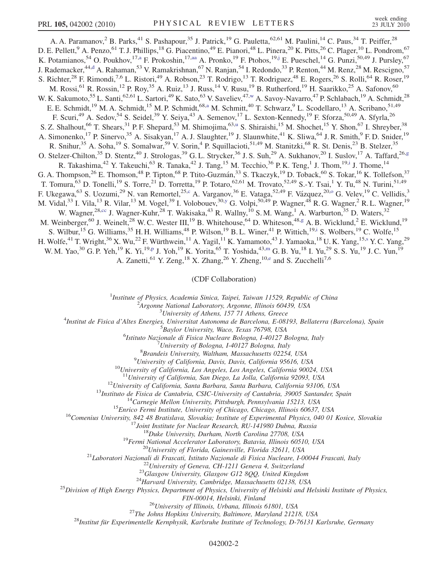<span id="page-4-6"></span><span id="page-4-3"></span>A. A. Paramanov,<sup>2</sup> B. Parks,<sup>41</sup> S. Pashapour,<sup>35</sup> J. Patrick,<sup>19</sup> G. Pauletta,<sup>62,61</sup> M. Paulini,<sup>14</sup> C. Paus,<sup>34</sup> T. Peiffer,<sup>28</sup> D. E. Pellett,<sup>9</sup> A. Penzo,<sup>61</sup> T. J. Phillips,<sup>18</sup> G. Piacentino,<sup>49</sup> E. Pianori,<sup>48</sup> L. Pinera,<sup>20</sup> K. Pitts,<sup>26</sup> C. Plager,<sup>10</sup> L. Pondrom,<sup>67</sup> K. Potamianos,<sup>54</sup> O. Poukhov,<sup>17[,a](#page-9-1)</sup> F. Prokoshin,<sup>17[,aa](#page-9-22)</sup> A. Pronko,<sup>19</sup> F. Ptohos,<sup>19[,j](#page-9-23)</sup> E. Pueschel,<sup>14</sup> G. Punzi,<sup>50,49</sup> J. Pursley,<sup>67</sup> J. Ra[d](#page-9-12)emacker,<sup>44,d</sup> A. Rahaman,<sup>53</sup> V. Ramakrishnan,<sup>67</sup> N. Ranjan,<sup>54</sup> I. Redondo,<sup>33</sup> P. Renton,<sup>44</sup> M. Renz,<sup>28</sup> M. Rescigno,<sup>57</sup> S. Richter,<sup>28</sup> F. Rimondi,<sup>7,6</sup> L. Ristori,<sup>49</sup> A. Robson,<sup>23</sup> T. Rodrigo,<sup>13</sup> T. Rodriguez,<sup>48</sup> E. Rogers,<sup>26</sup> S. Rolli,<sup>64</sup> R. Roser,<sup>19</sup> M. Rossi,<sup>61</sup> R. Rossin,<sup>12</sup> P. Roy,<sup>35</sup> A. Ruiz,<sup>13</sup> J. Russ,<sup>14</sup> V. Rusu,<sup>19</sup> B. Rutherford,<sup>19</sup> H. Saarikko,<sup>25</sup> A. Safonov,<sup>60</sup> W. K. Sakumoto,<sup>55</sup> L. Santi,<sup>62,61</sup> L. Sartori,<sup>49</sup> K. Sato,<sup>63</sup> V. Saveliev,<sup>47,[w](#page-9-8)</sup> A. Savoy-Navarro,<sup>47</sup> P. Schlabach,<sup>19</sup> A. Schmidt,<sup>28</sup> E. E. Schmidt,<sup>19</sup> M. A. Schmidt,<sup>15</sup> M. P. Schmidt,<sup>68[,a](#page-9-1)</sup> M. Schmitt,<sup>40</sup> T. Schwarz,<sup>9</sup> L. Scodellaro,<sup>13</sup> A. Scribano,<sup>51,49</sup> F. Scuri,<sup>49</sup> A. Sedov,<sup>54</sup> S. Seidel,<sup>39</sup> Y. Seiya,<sup>43</sup> A. Semenov,<sup>17</sup> L. Sexton-Kennedy,<sup>19</sup> F. Sforza,<sup>50,49</sup> A. Sfyrla,<sup>26</sup> S. Z. Shalho[u](#page-9-24)t, <sup>66</sup> T. Shears, <sup>31</sup> P. F. Shepard, <sup>53</sup> M. Shimojima, <sup>63,u</sup> S. Shiraishi, <sup>15</sup> M. Shochet, <sup>15</sup> Y. Shon, <sup>67</sup> I. Shreyber, <sup>38</sup> A. Simonenko,<sup>17</sup> P. Sinervo,<sup>35</sup> A. Sisakyan,<sup>17</sup> A. J. Slaughter,<sup>19</sup> J. Slaunwhite,<sup>41</sup> K. Sliwa,<sup>64</sup> J. R. Smith,<sup>9</sup> F. D. Snider,<sup>19</sup> R. Snihur,<sup>35</sup> A. Soha,<sup>19</sup> S. Somalwar,<sup>59</sup> V. Sorin,<sup>4</sup> P. Squillacioti,<sup>51,49</sup> M. Stanitzki,<sup>68</sup> R. St. Denis,<sup>23</sup> B. Stelzer,<sup>35</sup> O. Stelzer-Chilton,<sup>35</sup> D. Stentz,<sup>40</sup> J. Strologas,<sup>39</sup> G. L. Strycker,<sup>36</sup> J. S. Suh,<sup>29</sup> A. Sukhanov,<sup>20</sup> I. Suslov,<sup>17</sup> A. Taffard,<sup>26[,g](#page-9-9)</sup> R. Takash[i](#page-9-25)ma, <sup>42</sup> Y. Takeuchi, <sup>63</sup> R. Tanaka, <sup>42</sup> J. Tang, <sup>15</sup> M. Tecchio, <sup>36</sup> P. K. Teng, <sup>1</sup> J. Thom, <sup>19,i</sup> J. Thome, <sup>14</sup> G. A. Thompson,<sup>26</sup> E. Thomson,<sup>48</sup> P. Tipton,<sup>68</sup> P. Ttito-Guzmán,<sup>33</sup> S. Tkaczyk,<sup>19</sup> D. Toback,<sup>60</sup> S. Tokar,<sup>16</sup> K. Tollefson,<sup>37</sup> T. Tomura,<sup>63</sup> D. Tonelli,<sup>19</sup> S. Torre,<sup>21</sup> D. Torretta,<sup>19</sup> P. Totaro,<sup>62,61</sup> M. Trovato,<sup>52,49</sup> S.-Y. Tsai,<sup>1</sup> Y. Tu,<sup>48</sup> N. Turini,<sup>51,49</sup> F. Ukegawa,<sup>63</sup> S. Uozumi,<sup>29</sup> N. van Remortel,<sup>25,[c](#page-9-26)</sup> A. Vargan[o](#page-9-5)v,<sup>36</sup> E. Vataga,<sup>52,49</sup> F. Vázquez,<sup>20,o</sup> G. Velev,<sup>19</sup> C. Vellidis,<sup>3</sup> M. Vidal,<sup>33</sup> I. Vila,<sup>13</sup> R. Vilar,<sup>13</sup> M. Vogel,<sup>39</sup> I. Volobouev,<sup>30[,y](#page-9-16)</sup> G. Volpi,<sup>50,49</sup> P. Wagner,<sup>48</sup> R. G. Wagner,<sup>2</sup> R. L. Wagner,<sup>19</sup> W. Wagner,<sup>28,[cc](#page-9-27)</sup> J. Wagner-Kuhr,<sup>28</sup> T. Wakisaka,<sup>43</sup> R. Wallny,<sup>10</sup> S. M. Wang,<sup>1</sup> A. Warburton,<sup>35</sup> D. Waters,<sup>32</sup> M. Weinberger,<sup>60</sup> J. Weinelt,<sup>28</sup> W. C. Wester III,<sup>19</sup> B. Whitehouse,<sup>64</sup> D. Whiteson,<sup>48[,g](#page-9-9)</sup> A. B. Wicklund,<sup>2</sup> E. Wicklund,<sup>19</sup> S. Wilbur,<sup>15</sup> G. Williams,<sup>35</sup> H. H. Williams,<sup>48</sup> P. Wilson,<sup>19</sup> B. L. Winer,<sup>41</sup> P. Wittich,<sup>19[,i](#page-9-25)</sup> S. Wolbers,<sup>19</sup> C. Wolfe,<sup>15</sup> H. Wolfe,<sup>41</sup> T. Wright,<sup>36</sup> X. Wu,<sup>22</sup> F. Würthwein,<sup>11</sup> A. Yagil,<sup>11</sup> K. Yamamoto,<sup>43</sup> J. Yamaoka,<sup>18</sup> U. K. Yang,<sup>15[,s](#page-9-28)</sup> Y. C. Yang,<sup>29</sup> W. M. Yao,<sup>30</sup> G. P. Yeh,<sup>19</sup> K. Yi,<sup>19[,p](#page-9-7)</sup> J. Yoh,<sup>19</sup> K. Yorita,<sup>65</sup> T. Yoshida,<sup>43[,m](#page-9-29)</sup> G. B. Yu,<sup>18</sup> I. Yu,<sup>29</sup> S. S. Yu,<sup>19</sup> J. C. Yun,<sup>19</sup> A. Zanetti, <sup>61</sup> Y. Zeng, <sup>18</sup> X. Zhang, <sup>26</sup> Y. Zheng, <sup>10[,e](#page-9-30)</sup> and S. Zucchelli<sup>7,6</sup>

(CDF Collaboration)

<sup>1</sup>Institute of Physics, Academia Sinica, Taipei, Taiwan 11529, Republic of China<br><sup>2</sup>Arganna National Laboratory, Arganna Illinois 60430, USA

 $^2$ Argonne National Laboratory, Argonne, Illinois 60439, USA<br> $^3$ University of Athens, 157 71 Athens, Greece

<span id="page-4-7"></span><span id="page-4-5"></span><span id="page-4-4"></span><span id="page-4-2"></span><span id="page-4-1"></span><span id="page-4-0"></span><sup>3</sup>University of Athens, 157 71 Athens, Greece<sup>3</sup> Theories *Lyniversity* of Athens, 157 71 Athens, Greece<sup>4</sup>

Institut de Fisica d'Altes Energies, Universitat Autonoma de Barcelona, E-08193, Bellaterra (Barcelona), Spain <sup>5</sup>

<sup>5</sup>Baylor University, Waco, Texas 76798, USA

<sup>6</sup>Istituto Nazionale di Fisica Nucleare Bologna, I-40127 Bologna, Italy

 $17$ University of Bologna, I-40127 Bologna, Italy

 ${}^{8}$ Brandeis University, Waltham, Massachusetts 02254, USA  ${}^{9}$ University of California, Davis, Davis, California 95616, USA

 $10$ University of California, Los Angeles, Los Angeles, California 90024, USA

<sup>11</sup>University of California, San Diego, La Jolla, California 92093, USA<br><sup>12</sup>University of California, Santa Barbara, Santa Barbara, California 93106, USA<br><sup>13</sup>Institute de Fisica de Cantabria, CSIC-University of Catiforni

FIN-00014, Helsinki, Finland<br><sup>26</sup>University of Illinois, Urbana, Illinois 61801, USA<sup>27</sup>The Johns Hopkins University, Baltimore, Maryland 21218, USA<sup>28</sup><br><sup>28</sup>Institut für Experimentelle Kernphysik, Karlsruhe Institute of Te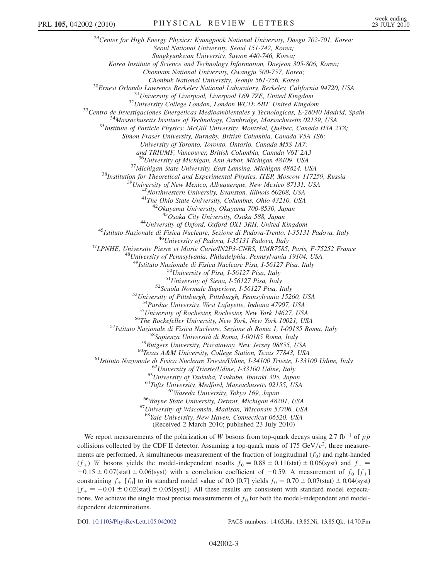<sup>29</sup>Center for High Energy Physics: Kyungpook National University, Daegu 702-701, Korea; Seoul National University, Seoul 151-742, Korea; Sungkyunkwan University, Suwon 440-746, Korea; Korea Institute of Science and Technology Information, Daejeon 305-806, Korea; Chonnam National University, Gwangju 500-757, Korea; <sup>30</sup>Ernest Orlando Lawrence Berkeley National Laboratory, Berkeley, California 94720, USA<br><sup>31</sup>University of Liverpool, Liverpool L69 7ZE, United Kingdom<br><sup>32</sup>University College London, London WCIE 6BT, United Kingdom<br><sup>32</sup>C Simon Fraser University, Burnaby, British Columbia, Canada V5A 1S6; University of Toronto, Toronto, Ontario, Canada M5S 1A7; and TRIUMF, Vancouver, British Columbia, Canada V6T 2A3 <sup>36</sup>University of Michigan, Ann Arbor, Michigan 48109, USA<br><sup>37</sup>Michigan State University, East Lansing, Michigan 48824, USA<br><sup>38</sup>Institution for Theoretical and Experimental Physics, ITEP, Moscow 117259, Russia<br><sup>39</sup>Univers <sup>44</sup>University of Oxford, Oxford OX1 3RH, United Kingdom<br><sup>45</sup>Istituto Nazionale di Fisica Nucleare, Sezione di Padova-Trento, I-35131 Padova, Italy<br><sup>46</sup>University of Padova, I-35131 Padova, Italy<br><sup>47</sup>LPNHE, Universite Pie <sup>49</sup>Istituto Nazionale di Fisica Nucleare Pisa, I-56127 Pisa, Italy<br><sup>50</sup>University of Pisa, I-56127 Pisa, Italy<br><sup>51</sup>University of Siena, I-56127 Pisa, Italy<br><sup>52</sup>Scuola Normale Superiore, I-56127 Pisa, Italy<br><sup>52</sup>Scuola Nor <sup>54</sup>Purdue University, West Lafayette, Indiana 47907, USA<br>
<sup>55</sup>University of Rochester, Rochester, New York 14627, USA<br>
<sup>55</sup>University of Rochester, Rochester, New York 14627, USA<br>
<sup>57</sup>Istituto Nazionale di Fisica Nuclear  $^{67}$ University of Wisconsin, Madison, Wisconsin 53706, USA<br> $^{68}$ Yale University, New Haven, Connecticut 06520, USA (Received 2 March 2010; published 23 July 2010) We report measurements of the polarization of W bosons from top-quark decays using 2.7 fb<sup>-1</sup> of  $p\bar{p}$ 

collisions collected by the CDF II detector. Assuming a top-quark mass of 175 GeV/ $c^2$ , three measurements are performed. A simultaneous measurement of the fraction of longitudinal  $(f_0)$  and right-handed  $(f_+)$  W bosons yields the model-independent results  $f_0 = 0.88 \pm 0.11$  (stat)  $\pm 0.06$  (syst) and  $f_+ =$ <br> $-0.15 \pm 0.07$  (stat)  $\pm 0.06$  (syst) with a correlation coefficient of  $-0.59$ . A measurement of f [f ]  $-0.15 \pm 0.07$ (stat)  $\pm 0.06$ (syst) with a correlation coefficient of  $-0.59$ . A measurement of  $f_0$  [f<sub>+</sub>] constraining f<sub>1</sub> [f<sub>d</sub>] to its standard model value of 0.0.10.71 vields f<sub>1</sub> = 0.70 + 0.07(stat) + 0.04(syst) constraining  $f_+$  [ $f_0$ ] to its standard model value of 0.0 [0.7] yields  $f_0 = 0.70 \pm 0.07$ (stat)  $\pm 0.04$ (syst)<br>  $f_+ = -0.01 \pm 0.02$ (stat)  $\pm 0.05$ (syst)]. All these results are consistent with standard model expects  $[f_{+} = -0.01 \pm 0.02$ (stat)  $\pm 0.05$ (syst)]. All these results are consistent with standard model expecta-<br>tions. We achieve the single most precise measurements of f, for both the model independent and model tions. We achieve the single most precise measurements of  $f_0$  for both the model-independent and modeldependent determinations.

DOI: [10.1103/PhysRevLett.105.042002](http://dx.doi.org/10.1103/PhysRevLett.105.042002) PACS numbers: 14.65.Ha, 13.85.Ni, 13.85.Qk, 14.70.Fm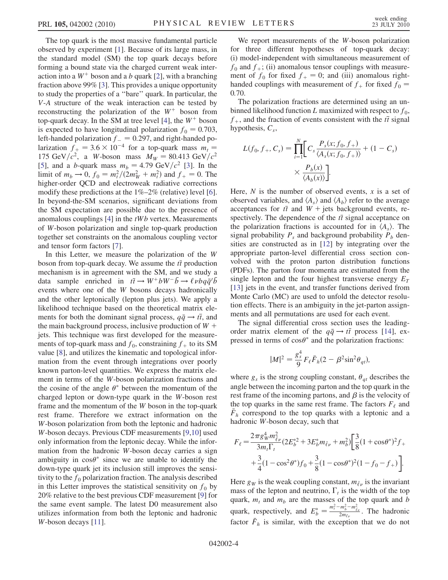The top quark is the most massive fundamental particle observed by experiment [\[1\]](#page-9-31). Because of its large mass, in the standard model (SM) the top quark decays before forming a bound state via the charged current weak interaction into a  $W^+$  boson and a b quark [[2\]](#page-9-32), with a branching fraction above 99% [\[3\]](#page-9-33). This provides a unique opportunity to study the properties of a ''bare'' quark. In particular, the V-A structure of the weak interaction can be tested by reconstructing the polarization of the  $W^+$  boson from top-quark decay. In the SM at tree level [[4](#page-9-34)], the  $W^+$  boson is expected to have longitudinal polarization  $f_0 = 0.703$ , left-handed polarization  $f = 0.297$ , and right-handed po-<br>larization  $f_x = 3.6 \times 10^{-4}$  for a top-quark mass  $m =$ larization  $f_+ = 3.6 \times 10^{-4}$  for a top-quark mass  $m_t = 175 \text{ GeV}/c^2$  a W-boson mass  $M_{\text{tot}} = 80.413 \text{ GeV}/c^2$ 175 GeV/ $c^2$ , a W-boson mass  $M_W = 80.413 \text{ GeV}/c^2$ [\[5\]](#page-9-35), and a b-quark mass  $m_b = 4.79 \text{ GeV}/c^2$  [[3](#page-9-33)]. In the limit of  $m_b \to 0$ ,  $f_0 = m_t^2/(2m_W^2 + m_t^2)$  and  $f_+ = 0$ . The big between  $\Omega$  of the property rediative corrections higher-order QCD and electroweak radiative corrections modify these predictions at the 1%–2% (relative) level [[6\]](#page-9-36). In beyond-the-SM scenarios, significant deviations from the SM expectation are possible due to the presence of anomalous couplings  $[4]$  $[4]$  in the  $tWb$  vertex. Measurements of W-boson polarization and single top-quark production together set constraints on the anomalous coupling vector and tensor form factors [\[7](#page-9-37)].

In this Letter, we measure the polarization of the W boson from top-quark decay. We assume the  $t\bar{t}$  production mechanism is in agreement with the SM, and we study a data sample enriched in  $t\bar{t} \to W^+ b \bar{W}^- \bar{b} \to \ell \nu b q \bar{q}^{\dagger} \bar{b}$ <br>events where one of the W bosons decays hadronically events where one of the W bosons decays hadronically and the other leptonically (lepton plus jets). We apply a likelihood technique based on the theoretical matrix elements for both the dominant signal process,  $q\bar{q} \rightarrow t\bar{t}$ , and the main background process, inclusive production of  $W +$ jets. This technique was first developed for the measurements of top-quark mass and  $f_0$ , constraining  $f_+$  to its SM value [[8\]](#page-9-38), and utilizes the kinematic and topological information from the event through integrations over poorly known parton-level quantities. We express the matrix element in terms of the W-boson polarization fractions and the cosine of the angle  $\theta^*$  between the momentum of the charged lepton or down-type quark in the W-boson rest charged lepton or down-type quark in the W-boson rest frame and the momentum of the W boson in the top-quark rest frame. Therefore we extract information on the W-boson polarization from both the leptonic and hadronic W-boson decays. Previous CDF measurements [[9](#page-9-39)[,10\]](#page-9-40) used only information from the leptonic decay. While the information from the hadronic W-boson decay carries a sign ambiguity in  $\cos\theta^*$  since we are unable to identify the down-type quark jet its inclusion still improves the sensidown-type quark jet its inclusion still improves the sensitivity to the  $f_0$  polarization fraction. The analysis described in this Letter improves the statistical sensitivity on  $f_0$  by 20% relative to the best previous CDF measurement [[9](#page-9-39)] for the same event sample. The latest D0 measurement also utilizes information from both the leptonic and hadronic W-boson decays [\[11\]](#page-9-41).

We report measurements of the W-boson polarization for three different hypotheses of top-quark decay: (i) model-independent with simultaneous measurement of  $f_0$  and  $f_+$ ; (ii) anomalous tensor couplings with measurement of  $f_0$  for fixed  $f_+ = 0$ ; and (iii) anomalous righthanded couplings with measurement of  $f_{+}$  for fixed  $f_{0} =$ <sup>0</sup>:70.

The polarization fractions are determined using an unbinned likelihood function L maximized with respect to  $f_0$ ,  $f_{+}$ , and the fraction of events consistent with the  $t\bar{t}$  signal hypothesis,  $C_s$ ,

$$
L(f_0, f_+, C_s) = \prod_{i=1}^{N} \left[ C_s \frac{P_s(x; f_0, f_+)}{\langle A_s(x; f_0, f_+) \rangle} + (1 - C_s) \right. \\
 \times \frac{P_b(x)}{\langle A_b(x) \rangle}.
$$

Here,  $N$  is the number of observed events,  $x$  is a set of observed variables, and  $\langle A_s \rangle$  and  $\langle A_h \rangle$  refer to the average acceptances for  $t\bar{t}$  and  $W$  + jets background events, respectively. The dependence of the  $t\bar{t}$  signal acceptance on the polarization fractions is accounted for in  $\langle A_s \rangle$ . The signal probability  $P_s$  and background probability  $P_b$  densities are constructed as in [[12](#page-9-42)] by integrating over the appropriate parton-level differential cross section convolved with the proton parton distribution functions (PDFs). The parton four momenta are estimated from the single lepton and the four highest transverse energy  $E_T$ [\[13\]](#page-9-43) jets in the event, and transfer functions derived from Monte Carlo (MC) are used to unfold the detector resolution effects. There is an ambiguity in the jet-parton assignments and all permutations are used for each event.

The signal differential cross section uses the leadingorder matrix element of the  $q\bar{q} \rightarrow t\bar{t}$  process [[14](#page-10-0)], ex-<br>pressed in terms of  $\cos\theta^*$  and the polarization fractions: pressed in terms of  $\cos\theta^*$  and the polarization fractions:

$$
|M|^2 = \frac{g_s^4}{9} F_\ell \bar{F}_h (2 - \beta^2 \sin^2 \theta_{qt}),
$$

where  $g_s$  is the strong coupling constant,  $\theta_{qt}$  describes the angle between the incoming parton and the top quark in the angle between the incoming parton and the top quark in the rest frame of the incoming partons, and  $\beta$  is the velocity of the top quarks in the same rest frame. The factors  $F_{\ell}$  and  $\bar{F}_h$  correspond to the top quarks with a leptonic and a hadronic W-boson decay such that hadronic W-boson decay, such that

$$
F_{\ell} = \frac{2\pi g_W^4 m_{\tilde{\ell}\nu}^2}{3m_t \Gamma_t} (2E_b^{*2} + 3E_b^* m_{\tilde{\ell}\nu} + m_b^2) \left[ \frac{3}{8} (1 + \cos\theta^*)^2 f_+ + \frac{3}{4} (1 - \cos^2\theta^*) f_0 + \frac{3}{8} (1 - \cos\theta^*)^2 (1 - f_0 - f_+) \right].
$$

Here  $g_W$  is the weak coupling constant,  $m_{\tilde{\ell}_V}$  is the invariant mass of the lenton and neutrino  $\Gamma$ , is the width of the ton mass of the lepton and neutrino,  $\Gamma_t$  is the width of the top quark and h quark,  $m_t$  and  $m_b$  are the masses of the top quark and b quark, respectively, and  $E_b^* = \frac{m_t^2 - m_b^2 - m_{\tilde{\ell}_v}^2}{2m_{\tilde{\ell}_v}}$ . The hadronic factor  $\bar{F}_h$  is similar, with the exception that we do not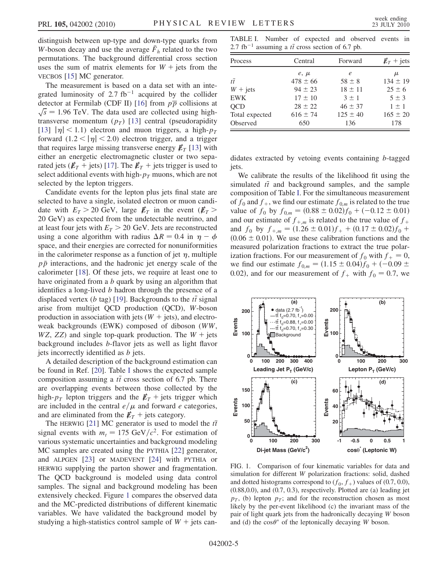distinguish between up-type and down-type quarks from W-boson decay and use the average  $\bar{F}_h$  related to the two<br>permutations. The background differential cross section permutations. The background differential cross section uses the sum of matrix elements for  $W +$  jets from the VECBOS [\[15\]](#page-10-1) MC generator.

The measurement is based on a data set with an integrated luminosity of 2.7 fb<sup>-1</sup> acquired by the collider detector at Fermilab (CDF II) [16] from  $p\overline{p}$  collisions at detector at Fermilab (CDF II) [\[16\]](#page-10-2) from  $p\overline{p}$  collisions at  $\sqrt{s} = 1.96$  TeV. The data used are collected using high-<br>transverse momentum (*n*<sub>n</sub>) [13] central (pseudoranidity transverse momentum  $(p_T)$  [[13](#page-9-43)] central (pseudorapidity [\[13\]](#page-9-43)  $|\eta|$  < 1.1) electron and muon triggers, a high- $p_T$ forward  $(1.2 < |\eta| < 2.0)$  electron trigger, and a trigger that requires large missing transverse energy  $E_T$  [[13](#page-9-43)] with either an energetic electromagnetic cluster or two separated jets ( $E_T$  + jets) [[17](#page-10-3)]. The  $E_T$  + jets trigger is used to select additional events with high- $p<sub>T</sub>$  muons, which are not selected by the lepton triggers.

Candidate events for the lepton plus jets final state are selected to have a single, isolated electron or muon candidate with  $E_T > 20$  GeV, large  $E_T$  in the event  $(E_T >$ 20 GeV) as expected from the undetectable neutrino, and at least four jets with  $E_T > 20$  GeV. Jets are reconstructed using a cone algorithm with radius  $\Delta R = 0.4$  in  $\eta - \phi$ space, and their energies are corrected for nonuniformities in the calorimeter response as a function of jet  $\eta$ , multiple  $p\bar{p}$  interactions, and the hadronic jet energy scale of the calorimeter [[18](#page-10-4)]. Of these jets, we require at least one to have originated from a b quark by using an algorithm that identifies a long-lived b hadron through the presence of a displaced vertex (*b* tag) [\[19\]](#page-10-5). Backgrounds to the  $t\bar{t}$  signal<br>arise, from multijet OCD production (OCD), W-boson arise from multijet QCD production (QCD), W-boson production in association with jets  $(W + \text{jets})$ , and electroweak backgrounds (EWK) composed of diboson (WW,  $WZ$ , ZZ) and single top-quark production. The  $W +$  jets background includes b-flavor jets as well as light flavor jets incorrectly identified as b jets.

A detailed description of the background estimation can be found in Ref. [[20](#page-10-6)]. Table [I](#page-7-0) shows the expected sample composition assuming a  $t\bar{t}$  cross section of 6.7 pb. There<br>are overlapping events between those collected by the are overlapping events between those collected by the high- $p_T$  lepton triggers and the  $\not{E}_T$  + jets trigger which are included in the central  $e/\mu$  and forward e categories, and are eliminated from the  $\not\!\!E_T$  + jets category.

The HERWIG [[21](#page-10-7)] MC generator is used to model the  $t\bar{t}$ signal events with  $m_t = 175 \text{ GeV}/c^2$ . For estimation of various systematic uncertainties and background modeling MC samples are created using the PYTHIA [[22](#page-10-8)] generator, and ALPGEN [[23](#page-10-9)] or MADEVENT [[24](#page-10-10)] with PYTHIA or HERWIG supplying the parton shower and fragmentation. The QCD background is modeled using data control samples. The signal and background modeling has been extensively checked. Figure [1](#page-7-1) compares the observed data and the MC-predicted distributions of different kinematic variables. We have validated the background model by studying a high-statistics control sample of  $W +$  jets can-

<span id="page-7-0"></span>TABLE I. Number of expected and observed events in  $2.7 \text{ fb}^{-1}$  assuming a *tt* cross section of 6.7 pb.

| Process        | Central      | Forward      | $\n  ET + jets$ |  |
|----------------|--------------|--------------|-----------------|--|
|                | $e, \mu$     | e            | μ               |  |
| $t\bar{t}$     | $478 \pm 66$ | $58 \pm 8$   | $134 \pm 19$    |  |
| $W + jets$     | $94 \pm 23$  | $18 \pm 11$  | $25 \pm 6$      |  |
| <b>EWK</b>     | $17 \pm 10$  | $3 \pm 1$    | $5 \pm 3$       |  |
| <b>OCD</b>     | $28 \pm 22$  | $46 \pm 37$  | $1 \pm 1$       |  |
| Total expected | $616 \pm 74$ | $125 \pm 40$ | $165 \pm 20$    |  |
| Observed       | 650          | 136          | 178             |  |

didates extracted by vetoing events containing b-tagged iets.

We calibrate the results of the likelihood fit using the simulated  $t\bar{t}$  and background samples, and the sample composition of Table [I](#page-7-0). For the simultaneous measurement of  $f_0$  and  $f_+$ , we find our estimate  $f_{0,m}$  is related to the true value of  $f_0$  by  $f_{0,m} = (0.88 \pm 0.02)f_0 + (-0.12 \pm 0.01)$ <br>and our estimate of  $f_{\text{tot}}$  is related to the true value of  $f_{\text{tot}}$ and our estimate of  $f<sub>+,m</sub>$  is related to the true value of  $f<sub>+</sub>$ and  $f_0$  by  $f_{+,m} = (1.26 \pm 0.01)f_+ + (0.17 \pm 0.02)f_0 + (0.06 \pm 0.01)$  We use these calibration functions and the  $(0.06 \pm 0.01)$ . We use these calibration functions and the measured polarization fractions to extract the true polarmeasured polarization fractions to extract the true polarization fractions. For our measurement of  $f_0$  with  $f_+ = 0$ , we find our estimate  $f_{0,m} = (1.15 \pm 0.04) f_0 + (-0.09 \pm 0.02)$  and for our measurement of f, with  $f_0 = 0.7$  we 0.02), and for our measurement of  $f_+$  with  $f_0 = 0.7$ , we

<span id="page-7-1"></span>

FIG. 1. Comparison of four kinematic variables for data and simulation for different W polarization fractions: solid, dashed and dotted histograms correspond to  $(f_0, f_+)$  values of (0.7, 0.0), (0.88,0.0), and (0.7, 0.3), respectively. Plotted are (a) leading jet  $p_T$ , (b) lepton  $p_T$ ; and for the reconstruction chosen as most likely by the per-event likelihood (c) the invariant mass of the pair of light quark jets from the hadronically decaying W boson and (d) the  $\cos\theta^*$  of the leptonically decaying W boson.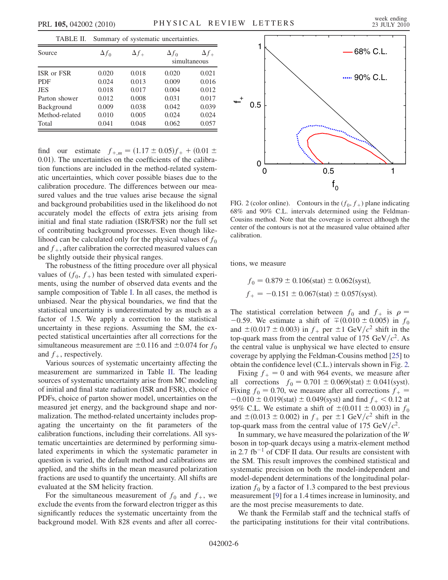<span id="page-8-0"></span>

| TABLE II.                    | Summary of systematic uncertainties. |                |                |                              |
|------------------------------|--------------------------------------|----------------|----------------|------------------------------|
| Source                       | $\Delta f_0$                         | $\Delta f_+$   | $\Delta f_0$   | $\Delta f_+$<br>simultaneous |
| ISR or FSR                   | 0.020                                | 0.018          | 0.020          | 0.021                        |
| <b>PDF</b><br><b>JES</b>     | 0.024<br>0.018                       | 0.013<br>0.017 | 0.009<br>0.004 | 0.016<br>0.012               |
| Parton shower                | 0.012                                | 0.008          | 0.031          | 0.017                        |
| Background<br>Method-related | 0.009<br>0.010                       | 0.038<br>0.005 | 0.042<br>0.024 | 0.039<br>0.024               |
| Total                        | 0.041                                | 0.048          | 0.062          | 0.057                        |

find our estimate  $f_{+,m} = (1.17 \pm 0.05)f_+ + (0.01 \pm 0.01)$ . The uncertainties on the coefficients of the calibra-0.01). The uncertainties on the coefficients of the calibration functions are included in the method-related systematic uncertainties, which cover possible biases due to the calibration procedure. The differences between our measured values and the true values arise because the signal and background probabilities used in the likelihood do not accurately model the effects of extra jets arising from initial and final state radiation (ISR/FSR) nor the full set of contributing background processes. Even though likelihood can be calculated only for the physical values of  $f_0$ and  $f_{+}$ , after calibration the corrected measured values can be slightly outside their physical ranges.

The robustness of the fitting procedure over all physical values of  $(f_0, f_+)$  has been tested with simulated experiments, using the number of observed data events and the sample composition of Table [I.](#page-7-0) In all cases, the method is unbiased. Near the physical boundaries, we find that the statistical uncertainty is underestimated by as much as a factor of 1.5. We apply a correction to the statistical uncertainty in these regions. Assuming the SM, the expected statistical uncertainties after all corrections for the simultaneous measurement are  $\pm 0.116$  and  $\pm 0.074$  for  $f_0$ <br>and  $f_{\text{c}}$  respectively and  $f_{+}$ , respectively.

Various sources of systematic uncertainty affecting the measurement are summarized in Table [II.](#page-8-0) The leading sources of systematic uncertainty arise from MC modeling of initial and final state radiation (ISR and FSR), choice of PDFs, choice of parton shower model, uncertainties on the measured jet energy, and the background shape and normalization. The method-related uncertainty includes propagating the uncertainty on the fit parameters of the calibration functions, including their correlations. All systematic uncertainties are determined by performing simulated experiments in which the systematic parameter in question is varied, the default method and calibrations are applied, and the shifts in the mean measured polarization fractions are used to quantify the uncertainty. All shifts are evaluated at the SM helicity fraction.

For the simultaneous measurement of  $f_0$  and  $f_+$ , we exclude the events from the forward electron trigger as this significantly reduces the systematic uncertainty from the background model. With 828 events and after all correc-

<span id="page-8-1"></span>

FIG. 2 (color online). Contours in the  $(f_0, f_+)$  plane indicating 68% and 90% C.L. intervals determined using the Feldman-Cousins method. Note that the coverage is correct although the center of the contours is not at the measured value obtained after calibration.

tions, we measure

$$
f_0 = 0.879 \pm 0.106 \text{(stat)} \pm 0.062 \text{(syst)}
$$
,  
 $f_+ = -0.151 \pm 0.067 \text{(stat)} \pm 0.057 \text{(syst)}$ .

The statistical correlation between  $f_0$  and  $f_+$  is  $\rho =$  $-0.59$ . We estimate a shift of  $\pm (0.010 \pm 0.005)$  in  $f_0$ <br>and  $\pm (0.017 \pm 0.003)$  in f<sub>osime</sub>  $\pm 1$  GeV/ $c^2$  shift in the and  $\pm (0.017 \pm 0.003)$  in  $f_+$  per  $\pm 1$  GeV/ $c^2$  shift in the top-quark mass from the central value of 175 GeV/ $c^2$  As top-quark mass from the central value of 175 GeV/ $c^2$ . As the central value is unphysical we have elected to ensure coverage by applying the Feldman-Cousins method [[25](#page-10-11)] to obtain the confidence level (C.L.) intervals shown in Fig. [2.](#page-8-1)

Fixing  $f_+ = 0$  and with 964 events, we measure after all corrections  $f_0 = 0.701 \pm 0.069$  (stat)  $\pm 0.041$  (syst).<br>Fixing  $f_0 = 0.70$  we measure after all corrections  $f_1 =$ Fixing  $f_0 = 0.70$ , we measure after all corrections  $f_+$  $-0.010 \pm 0.019$ (stat)  $\pm 0.049$ (syst) and find  $f_+ < 0.12$  at 95% C I. We estimate a shift of  $\pm (0.011 \pm 0.003)$  in  $f_0$ 95% C.L. We estimate a shift of  $\pm (0.011 \pm 0.003)$  in  $f_0$ <br>and  $\pm (0.013 \pm 0.002)$  in f<sub>0</sub> per  $\pm 1$  GeV/ $c^2$  shift in the and  $\pm (0.013 \pm 0.002)$  in  $f_+$  per  $\pm 1$  GeV/ $c^2$  shift in the top-quark mass from the central value of 175 GeV/ $c^2$ top-quark mass from the central value of 175 GeV/ $c^2$ .

In summary, we have measured the polarization of the W boson in top-quark decays using a matrix-element method in 2.7 fb<sup>-1</sup> of CDF II data. Our results are consistent with the SM. This result improves the combined statistical and systematic precision on both the model-independent and model-dependent determinations of the longitudinal polarization  $f_0$  by a factor of 1.3 compared to the best previous measurement [[9\]](#page-9-39) for a 1.4 times increase in luminosity, and are the most precise measurements to date.

We thank the Fermilab staff and the technical staffs of the participating institutions for their vital contributions.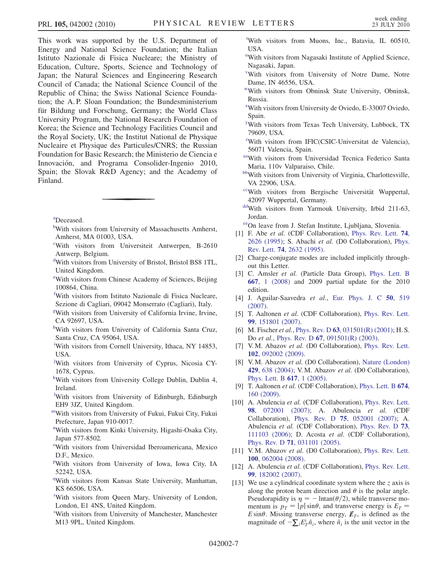This work was supported by the U.S. Department of Energy and National Science Foundation; the Italian Istituto Nazionale di Fisica Nucleare; the Ministry of Education, Culture, Sports, Science and Technology of Japan; the Natural Sciences and Engineering Research Council of Canada; the National Science Council of the Republic of China; the Swiss National Science Foundation; the A. P. Sloan Foundation; the Bundesministerium für Bildung und Forschung, Germany; the World Class University Program, the National Research Foundation of Korea; the Science and Technology Facilities Council and the Royal Society, UK; the Institut National de Physique Nucleaire et Physique des Particules/CNRS; the Russian Foundation for Basic Research; the Ministerio de Ciencia e Innovación, and Programa Consolider-Ingenio 2010, Spain; the Slovak R&D Agency; and the Academy of Finland.

<span id="page-9-3"></span><span id="page-9-1"></span>[a](#page-3-0) Deceased.

- <span id="page-9-26"></span>[b](#page-3-1)With visitors from University of Massachusetts Amherst, Amherst, MA 01003, USA.
- <span id="page-9-12"></span>[c](#page-4-0) With visitors from Universiteit Antwerpen, B-2610 Antwerp, Belgium.
- <span id="page-9-30"></span>[d](#page-3-2) With visitors from University of Bristol, Bristol BS8 1TL, United Kingdom.
- <span id="page-9-17"></span>[e](#page-4-1)With visitors from Chinese Academy of Sciences, Beijing 100864, China.
- <span id="page-9-9"></span>[f](#page-3-3) With visitors from Istituto Nazionale di Fisica Nucleare, Sezione di Cagliari, 09042 Monserrato (Cagliari), Italy.
- <span id="page-9-21"></span>[g](#page-3-4) With visitors from University of California Irvine, Irvine, CA 92697, USA.
- <span id="page-9-25"></span>[h](#page-3-5) With visitors from University of California Santa Cruz, Santa Cruz, CA 95064, USA.
- <span id="page-9-23"></span>[i](#page-4-2) With visitors from Cornell University, Ithaca, NY 14853, USA.
- <span id="page-9-19"></span>[j](#page-4-3) With visitors from University of Cyprus, Nicosia CY-1678, Cyprus.
- <span id="page-9-18"></span>[k](#page-3-6) With visitors from University College Dublin, Dublin 4, Ireland.
- [l](#page-3-7) With visitors from University of Edinburgh, Edinburgh EH9 3JZ, United Kingdom.
- <span id="page-9-29"></span><span id="page-9-14"></span>[mW](#page-4-4)ith visitors from University of Fukui, Fukui City, Fukui Prefecture, Japan 910-0017.
- <span id="page-9-5"></span>[n](#page-3-8) With visitors from Kinki University, Higashi-Osaka City, Japan 577-8502.
- <span id="page-9-7"></span><sup>[o](#page-3-9)</sup>With visitors from Universidad Iberoamericana, Mexico D.F., Mexico.
- <span id="page-9-13"></span>[p](#page-3-10) With visitors from University of Iowa, Iowa City, IA 52242, USA.
- <span id="page-9-6"></span><sup>[q](#page-3-11)</sup>With visitors from Kansas State University, Manhattan, KS 66506, USA.
- <span id="page-9-28"></span>[r](#page-3-12) With visitors from Queen Mary, University of London, London, E1 4NS, United Kingdom.
- [s](#page-4-5) With visitors from University of Manchester, Manchester M13 9PL, United Kingdom.

<span id="page-9-11"></span>[t](#page-3-13) With visitors from Muons, Inc., Batavia, IL 60510, USA.

- <span id="page-9-24"></span><s[u](#page-4-6)p>u</sup>With visitors from Nagasaki Institute of Applied Science, Nagasaki, Japan.
- <span id="page-9-15"></span>[v](#page-3-14) With visitors from University of Notre Dame, Notre Dame, IN 46556, USA.
- <span id="page-9-8"></span>[wW](#page-3-15)ith visitors from Obninsk State University, Obninsk, Russia.
- <span id="page-9-0"></span>[x](#page-3-15) With visitors from University de Oviedo, E-33007 Oviedo, Spain.
- <span id="page-9-16"></span>[y](#page-3-16) With visitors from Texas Tech University, Lubbock, TX 79609, USA.
- <span id="page-9-4"></span><sup>[z](#page-3-17)</sup>With visitors from IFIC(CSIC-Universitat de Valencia), 56071 Valencia, Spain.
- <span id="page-9-22"></span>[aaW](#page-4-3)ith visitors from Universidad Tecnica Federico Santa Maria, 110v Valparaiso, Chile.
- <span id="page-9-20"></span>[bbW](#page-3-5)ith visitors from University of Virginia, Charlottesville, VA 22906, USA.
- <span id="page-9-27"></span>[ccW](#page-4-7)ith visitors from Bergische Universität Wuppertal, 42097 Wuppertal, Germany.
- <span id="page-9-10"></span>[ddW](#page-3-18)ith visitors from Yarmouk University, Irbid 211-63, Jordan.

<span id="page-9-2"></span>[eeO](#page-3-0)n leave from J. Stefan Institute, Ljubljana, Slovenia.

- <span id="page-9-31"></span>[1] F. Abe et al. (CDF Collaboration), [Phys. Rev. Lett.](http://dx.doi.org/10.1103/PhysRevLett.74.2626) 74, [2626 \(1995\);](http://dx.doi.org/10.1103/PhysRevLett.74.2626) S. Abachi et al. (D0 Collaboration), [Phys.](http://dx.doi.org/10.1103/PhysRevLett.74.2632) Rev. Lett. 74[, 2632 \(1995\).](http://dx.doi.org/10.1103/PhysRevLett.74.2632)
- <span id="page-9-32"></span>[2] Charge-conjugate modes are included implicitly throughout this Letter.
- <span id="page-9-33"></span>[3] C. Amsler et al. (Particle Data Group), [Phys. Lett. B](http://dx.doi.org/10.1016/j.physletb.2008.07.018) 667[, 1 \(2008\)](http://dx.doi.org/10.1016/j.physletb.2008.07.018) and 2009 partial update for the 2010 edition.
- <span id="page-9-34"></span>[4] J. Aguilar-Saavedra et al., [Eur. Phys. J. C](http://dx.doi.org/10.1140/epjc/s10052-007-0289-4) 50, 519 [\(2007\)](http://dx.doi.org/10.1140/epjc/s10052-007-0289-4).
- <span id="page-9-35"></span>[5] T. Aaltonen et al. (CDF Collaboration), [Phys. Rev. Lett.](http://dx.doi.org/10.1103/PhysRevLett.99.151801) 99[, 151801 \(2007\)](http://dx.doi.org/10.1103/PhysRevLett.99.151801).
- <span id="page-9-36"></span>[6] M. Fischer et al., Phys. Rev. D 63[, 031501\(R\) \(2001\);](http://dx.doi.org/10.1103/PhysRevD.63.031501) H. S. Do et al., Phys. Rev. D 67[, 091501\(R\) \(2003\)](http://dx.doi.org/10.1103/PhysRevD.67.091501).
- <span id="page-9-37"></span>[7] V. M. Abazov et al. (D0 Collaboration), [Phys. Rev. Lett.](http://dx.doi.org/10.1103/PhysRevLett.102.092002) 102[, 092002 \(2009\)](http://dx.doi.org/10.1103/PhysRevLett.102.092002).
- <span id="page-9-38"></span>[8] V. M. Abazov et al. (D0 Collaboration), [Nature \(London\)](http://dx.doi.org/10.1038/nature02589) 429[, 638 \(2004\);](http://dx.doi.org/10.1038/nature02589) V. M. Abazov et al. (D0 Collaboration), [Phys. Lett. B](http://dx.doi.org/10.1016/j.physletb.2005.04.069) 617, 1 (2005).
- <span id="page-9-39"></span>[9] T. Aaltonen et al. (CDF Collaboration), [Phys. Lett. B](http://dx.doi.org/10.1016/j.physletb.2009.02.040) 674, [160 \(2009\)](http://dx.doi.org/10.1016/j.physletb.2009.02.040).
- <span id="page-9-40"></span>[10] A. Abulencia et al. (CDF Collaboration), [Phys. Rev. Lett.](http://dx.doi.org/10.1103/PhysRevLett.98.072001) 98[, 072001 \(2007\)](http://dx.doi.org/10.1103/PhysRevLett.98.072001); A. Abulencia et al. (CDF Collaboration), Phys. Rev. D 75[, 052001 \(2007\)](http://dx.doi.org/10.1103/PhysRevD.75.052001); A. Abulencia et al. (CDF Collaboration), [Phys. Rev. D](http://dx.doi.org/10.1103/PhysRevD.73.111103) 73, [111103 \(2006\)](http://dx.doi.org/10.1103/PhysRevD.73.111103); D. Acosta et al. (CDF Collaboration), Phys. Rev. D 71[, 031101 \(2005\).](http://dx.doi.org/10.1103/PhysRevD.71.031101)
- <span id="page-9-41"></span>[11] V.M. Abazov et al. (D0 Collaboration), [Phys. Rev. Lett.](http://dx.doi.org/10.1103/PhysRevLett.100.062004) 100[, 062004 \(2008\)](http://dx.doi.org/10.1103/PhysRevLett.100.062004).
- <span id="page-9-42"></span>[12] A. Abulencia et al. (CDF Collaboration), [Phys. Rev. Lett.](http://dx.doi.org/10.1103/PhysRevLett.99.182002) 99[, 182002 \(2007\)](http://dx.doi.org/10.1103/PhysRevLett.99.182002).
- <span id="page-9-43"></span>[13] We use a cylindrical coordinate system where the  $\zeta$  axis is along the proton beam direction and  $\theta$  is the polar angle.<br>Pseudorapidity is  $n = -\ln \tan(\theta/2)$  while transverse mo-Pseudorapidity is  $\eta = - \text{Intan}(\theta/2)$ , while transverse mo-<br>mentum is  $p_x = |p| \sin \theta$ , and transverse energy is  $E_x =$ mentum is  $p_T = |p| \sin \theta$ , and transverse energy is  $E_T = E \sin \theta$ . Missing transverse energy  $\vec{F}_T$  is defined as the E sin $\theta$ . Missing transverse energy,  $\not\mathbb{F}_T$ , is defined as the magnitude of  $-\nabla F^i \hat{n}$ , where  $\hat{n}$ , is the unit vector in the magnitude of  $-\sum_{i} E_T^i \hat{n}_i$ , where  $\hat{n}_i$  is the unit vector in the